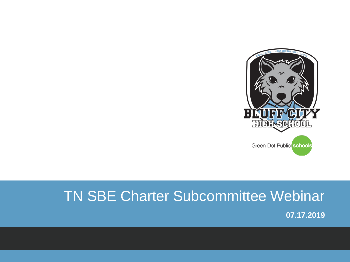

# TN SBE Charter Subcommittee Webinar

**07.17.2019**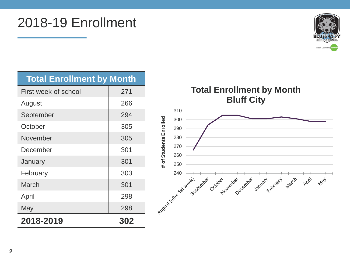### 2018-19 Enrollment



| <b>Total Enrollment by Month</b> |     |
|----------------------------------|-----|
| First week of school             | 271 |
| August                           | 266 |
| September                        | 294 |
| October                          | 305 |
| November                         | 305 |
| December                         | 301 |
| January                          | 301 |
| February                         | 303 |
| <b>March</b>                     | 301 |
| April                            | 298 |
| May                              | 298 |
| 2018-2019                        | 302 |

**Total Enrollment by Month Bluff City**

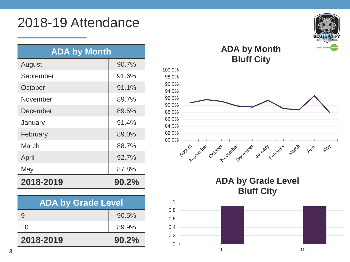### 2018-19 Attendance

| <b>ADA by Month</b> |       |
|---------------------|-------|
| August              | 90.7% |
| September           | 91.6% |
| October             | 91.1% |
| November            | 89.7% |
| December            | 89.5% |
| January             | 91.4% |
| February            | 89.0% |
| March               | 88.7% |
| April               | 92.7% |
| May                 | 87.8% |
| 2018-2019           | 90.2% |

| <b>ADA by Grade Level</b> |       |            |
|---------------------------|-------|------------|
| 9                         | 90.5% | 0.8<br>0.6 |
| 10                        | 89.9% | 0.4        |
| 2018-2019                 | 90.2% | 0.2<br>O   |



#### **ADA by Month Bluff City**



#### **ADA by Grade Level Bluff City**

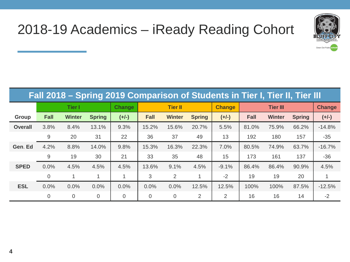

# 2018-19 Academics – iReady Reading Cohort

| Fall 2018 – Spring 2019 Comparison of Students in Tier I, Tier II, Tier III |                |                |                |               |                |                |               |               |       |                 |               |               |
|-----------------------------------------------------------------------------|----------------|----------------|----------------|---------------|----------------|----------------|---------------|---------------|-------|-----------------|---------------|---------------|
|                                                                             |                | <b>Tier I</b>  |                | <b>Change</b> |                | <b>Tier II</b> |               | <b>Change</b> |       | <b>Tier III</b> |               | <b>Change</b> |
| Group                                                                       | Fall           | <b>Winter</b>  | <b>Spring</b>  | $(+/-)$       | <b>Fall</b>    | <b>Winter</b>  | <b>Spring</b> | $(+/-)$       | Fall  | <b>Winter</b>   | <b>Spring</b> | $(+/-)$       |
| <b>Overall</b>                                                              | 3.8%           | 8.4%           | 13.1%          | 9.3%          | 15.2%          | 15.6%          | 20.7%         | 5.5%          | 81.0% | 75.9%           | 66.2%         | $-14.8%$      |
|                                                                             | 9              | 20             | 31             | 22            | 36             | 37             | 49            | 13            | 192   | 180             | 157           | $-35$         |
| Gen. Ed                                                                     | 4.2%           | 8.8%           | 14.0%          | 9.8%          | 15.3%          | 16.3%          | 22.3%         | 7.0%          | 80.5% | 74.9%           | 63.7%         | $-16.7%$      |
|                                                                             | 9              | 19             | 30             | 21            | 33             | 35             | 48            | 15            | 173   | 161             | 137           | $-36$         |
| <b>SPED</b>                                                                 | 0.0%           | 4.5%           | 4.5%           | 4.5%          | 13.6%          | 9.1%           | 4.5%          | $-9.1%$       | 86.4% | 86.4%           | 90.9%         | 4.5%          |
|                                                                             | $\overline{0}$ | 1              |                |               | 3              | 2              |               | $-2$          | 19    | 19              | 20            |               |
| <b>ESL</b>                                                                  | 0.0%           | 0.0%           | 0.0%           | 0.0%          | 0.0%           | 0.0%           | 12.5%         | 12.5%         | 100%  | 100%            | 87.5%         | $-12.5%$      |
|                                                                             | $\overline{0}$ | $\overline{0}$ | $\overline{0}$ | $\Omega$      | $\overline{0}$ | $\mathbf 0$    | 2             | 2             | 16    | 16              | 14            | $-2$          |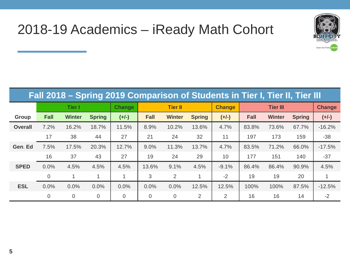

## 2018-19 Academics – iReady Math Cohort

| Fall 2018 – Spring 2019 Comparison of Students in Tier I, Tier II, Tier III |                |                |                |                |                |                |                |               |             |                 |               |               |
|-----------------------------------------------------------------------------|----------------|----------------|----------------|----------------|----------------|----------------|----------------|---------------|-------------|-----------------|---------------|---------------|
|                                                                             |                | <b>Tier I</b>  |                | <b>Change</b>  |                | <b>Tier II</b> |                | <b>Change</b> |             | <b>Tier III</b> |               | <b>Change</b> |
| Group                                                                       | <b>Fall</b>    | <b>Winter</b>  | <b>Spring</b>  | $(+/-)$        | <b>Fall</b>    | <b>Winter</b>  | <b>Spring</b>  | $(+/-)$       | <b>Fall</b> | <b>Winter</b>   | <b>Spring</b> | $(+/-)$       |
| <b>Overall</b>                                                              | 7.2%           | 16.2%          | 18.7%          | 11.5%          | 8.9%           | 10.2%          | 13.6%          | 4.7%          | 83.8%       | 73.6%           | 67.7%         | $-16.2%$      |
|                                                                             | 17             | 38             | 44             | 27             | 21             | 24             | 32             | 11            | 197         | 173             | 159           | $-38$         |
| Gen. Ed                                                                     | 7.5%           | 17.5%          | 20.3%          | 12.7%          | 9.0%           | 11.3%          | 13.7%          | 4.7%          | 83.5%       | 71.2%           | 66.0%         | $-17.5%$      |
|                                                                             | 16             | 37             | 43             | 27             | 19             | 24             | 29             | 10            | 177         | 151             | 140           | $-37$         |
| <b>SPED</b>                                                                 | 0.0%           | 4.5%           | 4.5%           | 4.5%           | 13.6%          | 9.1%           | 4.5%           | $-9.1%$       | 86.4%       | 86.4%           | 90.9%         | 4.5%          |
|                                                                             | $\mathbf 0$    | $\mathbf 1$    |                |                | 3              | $\overline{2}$ |                | $-2$          | 19          | 19              | 20            |               |
| <b>ESL</b>                                                                  | 0.0%           | 0.0%           | 0.0%           | 0.0%           | 0.0%           | 0.0%           | 12.5%          | 12.5%         | 100%        | 100%            | 87.5%         | $-12.5%$      |
|                                                                             | $\overline{0}$ | $\overline{0}$ | $\overline{0}$ | $\overline{0}$ | $\overline{0}$ | $\overline{0}$ | $\overline{2}$ | 2             | 16          | 16              | 14            | $-2$          |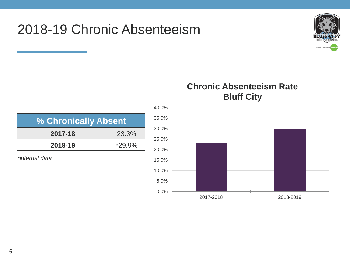## 2018-19 Chronic Absenteeism



#### **Chronic Absenteeism Rate Bluff City**

| % Chronically Absent |  |  |  |  |  |
|----------------------|--|--|--|--|--|
| 2017-18<br>23.3%     |  |  |  |  |  |
| 2018-19<br>$*29.9\%$ |  |  |  |  |  |
| *internal data       |  |  |  |  |  |

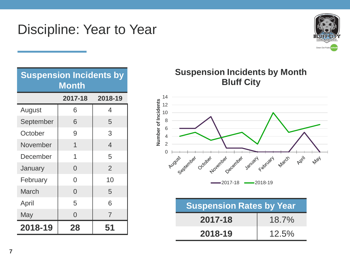### Discipline: Year to Year



| <b>Suspension Incidents by</b><br><b>Month</b> |                |                |  |  |  |  |  |  |
|------------------------------------------------|----------------|----------------|--|--|--|--|--|--|
|                                                | 2017-18        | 2018-19        |  |  |  |  |  |  |
| August                                         | 6              | 4              |  |  |  |  |  |  |
| September                                      | 6              | 5              |  |  |  |  |  |  |
| October                                        | 9              | 3              |  |  |  |  |  |  |
| November                                       | 1              | 4              |  |  |  |  |  |  |
| December                                       | 1              | 5              |  |  |  |  |  |  |
| January                                        | $\Omega$       | $\overline{2}$ |  |  |  |  |  |  |
| February                                       | 0              | 10             |  |  |  |  |  |  |
| <b>March</b>                                   | $\Omega$       | 5              |  |  |  |  |  |  |
| April                                          | 5              | 6              |  |  |  |  |  |  |
| May                                            | $\overline{0}$ | $\overline{7}$ |  |  |  |  |  |  |
| 2018-19                                        | 28             | 51             |  |  |  |  |  |  |

#### **Suspension Incidents by Month Bluff City**



 $-2017-18$   $-2018-19$ 

| <b>Suspension Rates by Year</b> |       |  |  |  |
|---------------------------------|-------|--|--|--|
| 2017-18                         | 18.7% |  |  |  |
| 2018-19                         | 12.5% |  |  |  |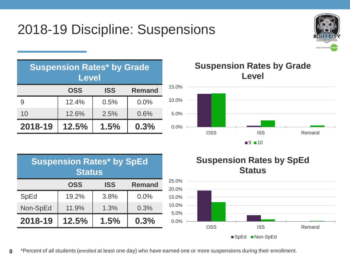# 2018-19 Discipline: Suspensions



|         | <b>Suspension Rates* by Grade</b><br><b>Level</b> |            |               |       |
|---------|---------------------------------------------------|------------|---------------|-------|
|         | <b>OSS</b>                                        | <b>ISS</b> | <b>Remand</b> | 15.0% |
| 9       | 12.4%                                             | 0.5%       | 0.0%          | 10.0% |
| 10      | 12.6%                                             | 2.5%       | 0.6%          | 5.0%  |
| 2018-19 | 12.5%                                             | 1.5%       | 0.3%          | 0.0%  |

#### **Suspension Rates by Grade Level**



| <b>Suspension Rates* by SpEd</b><br><b>Status</b> |            |            |               |  |  |
|---------------------------------------------------|------------|------------|---------------|--|--|
|                                                   | <b>OSS</b> | <b>ISS</b> | <b>Remand</b> |  |  |
| <b>SpEd</b>                                       | 19.2%      | 3.8%       | 0.0%          |  |  |
| Non-SpEd                                          | 11.9%      | 1.3%       | 0.3%          |  |  |
| 2018-19                                           | 12.5%      | 1.5%       | 0.3%          |  |  |



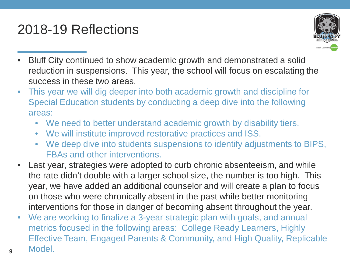# 2018-19 Reflections

**9**



- Bluff City continued to show academic growth and demonstrated a solid reduction in suspensions. This year, the school will focus on escalating the success in these two areas.
- This year we will dig deeper into both academic growth and discipline for Special Education students by conducting a deep dive into the following areas:
	- We need to better understand academic growth by disability tiers.
	- We will institute improved restorative practices and ISS.
	- We deep dive into students suspensions to identify adjustments to BIPS, FBAs and other interventions.
- Last year, strategies were adopted to curb chronic absenteeism, and while the rate didn't double with a larger school size, the number is too high. This year, we have added an additional counselor and will create a plan to focus on those who were chronically absent in the past while better monitoring interventions for those in danger of becoming absent throughout the year.
- We are working to finalize a 3-year strategic plan with goals, and annual metrics focused in the following areas: College Ready Learners, Highly Effective Team, Engaged Parents & Community, and High Quality, Replicable Model.